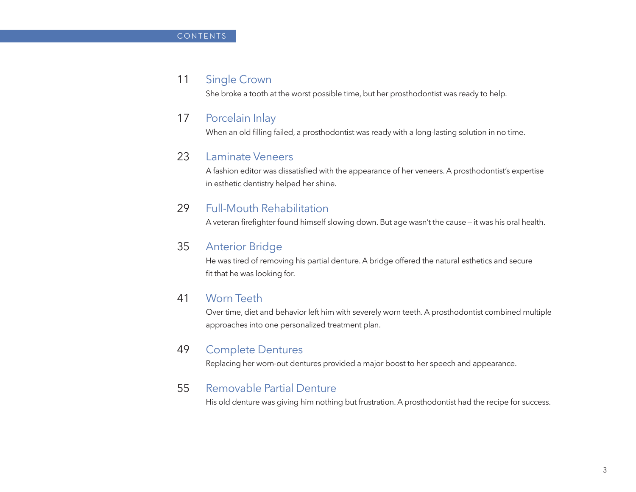#### 11 Single Crown

She broke a tooth at the worst possible time, but her prosthodontist was ready to help.

#### 17 Porcelain Inlay

When an old filling failed, a prosthodontist was ready with a long-lasting solution in no time.

#### 23 Laminate Veneers

A fashion editor was dissatisfied with the appearance of her veneers. A prosthodontist's expertise in esthetic dentistry helped her shine.

# 29 Full-Mouth Rehabilitation

A veteran firefighter found himself slowing down. But age wasn't the cause — it was his oral health.

# 35 Anterior Bridge

He was tired of removing his partial denture. A bridge offered the natural esthetics and secure fit that he was looking for.

#### 41 Worn Teeth

Over time, diet and behavior left him with severely worn teeth. A prosthodontist combined multiple approaches into one personalized treatment plan.

#### 49 Complete Dentures

Replacing her worn-out dentures provided a major boost to her speech and appearance.

#### 55 Removable Partial Denture

His old denture was giving him nothing but frustration. A prosthodontist had the recipe for success.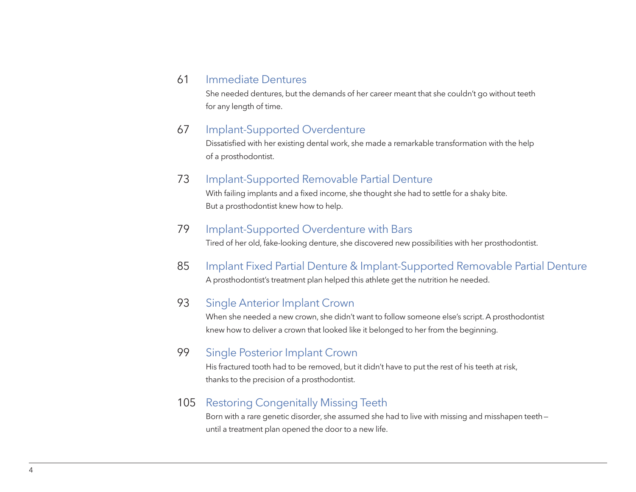#### 61 Immediate Dentures

She needed dentures, but the demands of her career meant that she couldn't go without teeth for any length of time.

# 67 Implant-Supported Overdenture

Dissatisfied with her existing dental work, she made a remarkable transformation with the help of a prosthodontist.

# 73 Implant-Supported Removable Partial Denture

With failing implants and a fixed income, she thought she had to settle for a shaky bite. But a prosthodontist knew how to help.

#### 79 Implant-Supported Overdenture with Bars

Tired of her old, fake-looking denture, she discovered new possibilities with her prosthodontist.

85 Implant Fixed Partial Denture & Implant-Supported Removable Partial Denture A prosthodontist's treatment plan helped this athlete get the nutrition he needed.

# 93 Single Anterior Implant Crown

When she needed a new crown, she didn't want to follow someone else's script. A prosthodontist knew how to deliver a crown that looked like it belonged to her from the beginning.

# 99 Single Posterior Implant Crown

His fractured tooth had to be removed, but it didn't have to put the rest of his teeth at risk, thanks to the precision of a prosthodontist.

# 105 Restoring Congenitally Missing Teeth

Born with a rare genetic disorder, she assumed she had to live with missing and misshapen teeth until a treatment plan opened the door to a new life.